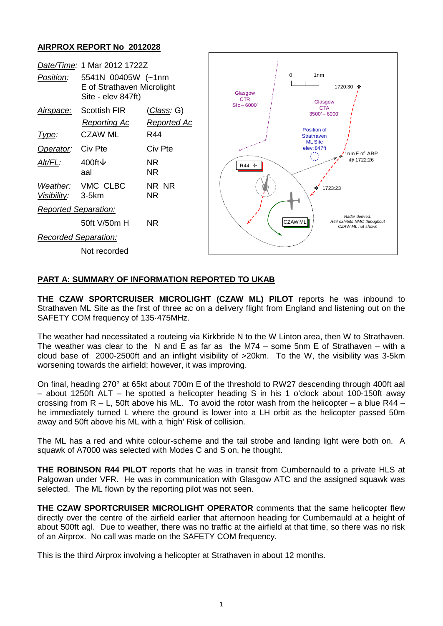## **AIRPROX REPORT No 2012028**



## **PART A: SUMMARY OF INFORMATION REPORTED TO UKAB**

**THE CZAW SPORTCRUISER MICROLIGHT (CZAW ML) PILOT** reports he was inbound to Strathaven ML Site as the first of three ac on a delivery flight from England and listening out on the SAFETY COM frequency of 135·475MHz.

The weather had necessitated a routeing via Kirkbride N to the W Linton area, then W to Strathaven. The weather was clear to the N and E as far as the  $M74 -$  some 5nm E of Strathaven – with a cloud base of 2000-2500ft and an inflight visibility of >20km. To the W, the visibility was 3-5km worsening towards the airfield; however, it was improving.

On final, heading 270° at 65kt about 700m E of the threshold to RW27 descending through 400ft aal – about 1250ft ALT – he spotted a helicopter heading S in his 1 o'clock about 100-150ft away crossing from  $R - L$ , 50ft above his ML. To avoid the rotor wash from the helicopter – a blue R44 – he immediately turned L where the ground is lower into a LH orbit as the helicopter passed 50m away and 50ft above his ML with a 'high' Risk of collision.

The ML has a red and white colour-scheme and the tail strobe and landing light were both on. A squawk of A7000 was selected with Modes C and S on, he thought.

**THE ROBINSON R44 PILOT** reports that he was in transit from Cumbernauld to a private HLS at Palgowan under VFR. He was in communication with Glasgow ATC and the assigned squawk was selected. The ML flown by the reporting pilot was not seen.

**THE CZAW SPORTCRUISER MICROLIGHT OPERATOR** comments that the same helicopter flew directly over the centre of the airfield earlier that afternoon heading for Cumbernauld at a height of about 500ft agl. Due to weather, there was no traffic at the airfield at that time, so there was no risk of an Airprox. No call was made on the SAFETY COM frequency.

This is the third Airprox involving a helicopter at Strathaven in about 12 months.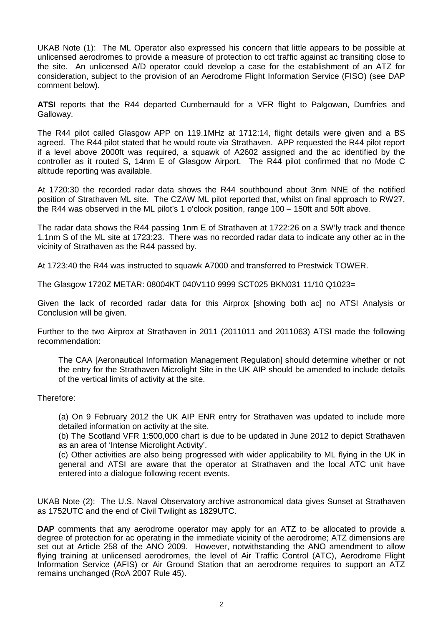UKAB Note (1): The ML Operator also expressed his concern that little appears to be possible at unlicensed aerodromes to provide a measure of protection to cct traffic against ac transiting close to the site. An unlicensed A/D operator could develop a case for the establishment of an ATZ for consideration, subject to the provision of an Aerodrome Flight Information Service (FISO) (see DAP comment below).

**ATSI** reports that the R44 departed Cumbernauld for a VFR flight to Palgowan, Dumfries and Galloway.

The R44 pilot called Glasgow APP on 119.1MHz at 1712:14, flight details were given and a BS agreed. The R44 pilot stated that he would route via Strathaven. APP requested the R44 pilot report if a level above 2000ft was required, a squawk of A2602 assigned and the ac identified by the controller as it routed S, 14nm E of Glasgow Airport. The R44 pilot confirmed that no Mode C altitude reporting was available.

At 1720:30 the recorded radar data shows the R44 southbound about 3nm NNE of the notified position of Strathaven ML site. The CZAW ML pilot reported that, whilst on final approach to RW27, the R44 was observed in the ML pilot's 1 o'clock position, range 100 – 150ft and 50ft above.

The radar data shows the R44 passing 1nm E of Strathaven at 1722:26 on a SW'ly track and thence 1.1nm S of the ML site at 1723:23. There was no recorded radar data to indicate any other ac in the vicinity of Strathaven as the R44 passed by.

At 1723:40 the R44 was instructed to squawk A7000 and transferred to Prestwick TOWER.

The Glasgow 1720Z METAR: 08004KT 040V110 9999 SCT025 BKN031 11/10 Q1023=

Given the lack of recorded radar data for this Airprox [showing both ac] no ATSI Analysis or Conclusion will be given.

Further to the two Airprox at Strathaven in 2011 (2011011 and 2011063) ATSI made the following recommendation:

The CAA [Aeronautical Information Management Regulation] should determine whether or not the entry for the Strathaven Microlight Site in the UK AIP should be amended to include details of the vertical limits of activity at the site.

Therefore:

(a) On 9 February 2012 the UK AIP ENR entry for Strathaven was updated to include more detailed information on activity at the site.

(b) The Scotland VFR 1:500,000 chart is due to be updated in June 2012 to depict Strathaven as an area of 'Intense Microlight Activity'.

(c) Other activities are also being progressed with wider applicability to ML flying in the UK in general and ATSI are aware that the operator at Strathaven and the local ATC unit have entered into a dialogue following recent events.

UKAB Note (2): The U.S. Naval Observatory archive astronomical data gives Sunset at Strathaven as 1752UTC and the end of Civil Twilight as 1829UTC.

**DAP** comments that any aerodrome operator may apply for an ATZ to be allocated to provide a degree of protection for ac operating in the immediate vicinity of the aerodrome; ATZ dimensions are set out at Article 258 of the ANO 2009. However, notwithstanding the ANO amendment to allow flying training at unlicensed aerodromes, the level of Air Traffic Control (ATC), Aerodrome Flight Information Service (AFIS) or Air Ground Station that an aerodrome requires to support an ATZ remains unchanged (RoA 2007 Rule 45).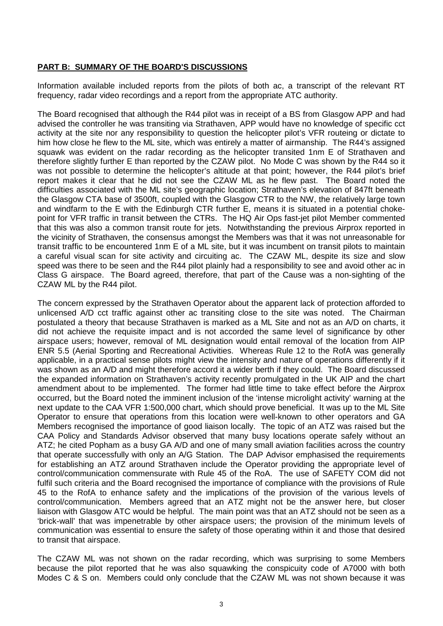## **PART B: SUMMARY OF THE BOARD'S DISCUSSIONS**

Information available included reports from the pilots of both ac, a transcript of the relevant RT frequency, radar video recordings and a report from the appropriate ATC authority.

The Board recognised that although the R44 pilot was in receipt of a BS from Glasgow APP and had advised the controller he was transiting via Strathaven, APP would have no knowledge of specific cct activity at the site nor any responsibility to question the helicopter pilot's VFR routeing or dictate to him how close he flew to the ML site, which was entirely a matter of airmanship. The R44's assigned squawk was evident on the radar recording as the helicopter transited 1nm E of Strathaven and therefore slightly further E than reported by the CZAW pilot. No Mode C was shown by the R44 so it was not possible to determine the helicopter's altitude at that point; however, the R44 pilot's brief report makes it clear that he did not see the CZAW ML as he flew past. The Board noted the difficulties associated with the ML site's geographic location; Strathaven's elevation of 847ft beneath the Glasgow CTA base of 3500ft, coupled with the Glasgow CTR to the NW, the relatively large town and windfarm to the E with the Edinburgh CTR further E, means it is situated in a potential chokepoint for VFR traffic in transit between the CTRs. The HQ Air Ops fast-jet pilot Member commented that this was also a common transit route for jets. Notwithstanding the previous Airprox reported in the vicinity of Strathaven, the consensus amongst the Members was that it was not unreasonable for transit traffic to be encountered 1nm E of a ML site, but it was incumbent on transit pilots to maintain a careful visual scan for site activity and circuiting ac. The CZAW ML, despite its size and slow speed was there to be seen and the R44 pilot plainly had a responsibility to see and avoid other ac in Class G airspace. The Board agreed, therefore, that part of the Cause was a non-sighting of the CZAW ML by the R44 pilot.

The concern expressed by the Strathaven Operator about the apparent lack of protection afforded to unlicensed A/D cct traffic against other ac transiting close to the site was noted. The Chairman postulated a theory that because Strathaven is marked as a ML Site and not as an A/D on charts, it did not achieve the requisite impact and is not accorded the same level of significance by other airspace users; however, removal of ML designation would entail removal of the location from AIP ENR 5.5 (Aerial Sporting and Recreational Activities. Whereas Rule 12 to the RofA was generally applicable, in a practical sense pilots might view the intensity and nature of operations differently if it was shown as an A/D and might therefore accord it a wider berth if they could. The Board discussed the expanded information on Strathaven's activity recently promulgated in the UK AIP and the chart amendment about to be implemented. The former had little time to take effect before the Airprox occurred, but the Board noted the imminent inclusion of the 'intense microlight activity' warning at the next update to the CAA VFR 1:500,000 chart, which should prove beneficial. It was up to the ML Site Operator to ensure that operations from this location were well-known to other operators and GA Members recognised the importance of good liaison locally. The topic of an ATZ was raised but the CAA Policy and Standards Advisor observed that many busy locations operate safely without an ATZ; he cited Popham as a busy GA A/D and one of many small aviation facilities across the country that operate successfully with only an A/G Station. The DAP Advisor emphasised the requirements for establishing an ATZ around Strathaven include the Operator providing the appropriate level of control/communication commensurate with Rule 45 of the RoA. The use of SAFETY COM did not fulfil such criteria and the Board recognised the importance of compliance with the provisions of Rule 45 to the RofA to enhance safety and the implications of the provision of the various levels of control/communication. Members agreed that an ATZ might not be the answer here, but closer liaison with Glasgow ATC would be helpful. The main point was that an ATZ should not be seen as a 'brick-wall' that was impenetrable by other airspace users; the provision of the minimum levels of communication was essential to ensure the safety of those operating within it and those that desired to transit that airspace.

The CZAW ML was not shown on the radar recording, which was surprising to some Members because the pilot reported that he was also squawking the conspicuity code of A7000 with both Modes C & S on. Members could only conclude that the CZAW ML was not shown because it was